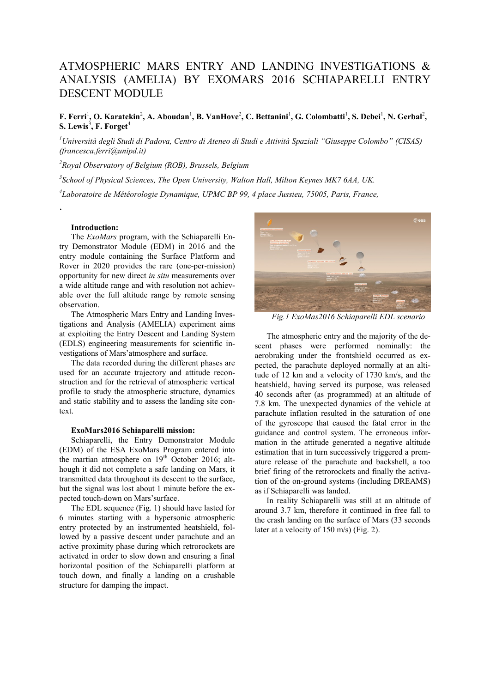# ATMOSPHERIC MARS ENTRY AND LANDING INVESTIGATIONS & ANALYSIS (AMELIA) BY EXOMARS 2016 SCHIAPARELLI ENTRY DESCENT MODULE

## **F. Ferri<sup>1</sup>, O. Karatekin<sup>2</sup>, A. Aboudan<sup>1</sup>, B. VanHove<sup>2</sup>, C. Bettanini<sup>1</sup>, G. Colombatti<sup>1</sup>, S. Debei<sup>1</sup>, N. Gerbal<sup>2</sup>, S. Lewis**<sup>3</sup> **, F. Forget**<sup>4</sup>

*<sup>1</sup>Università degli Studi di Padova, Centro di Ateneo di Studi e Attività Spaziali "Giuseppe Colombo" (CISAS) (francesca.ferri@unipd.it)*

*<sup>2</sup>Royal Observatory of Belgium (ROB), Brussels, Belgium*

*3 School of Physical Sciences, The Open University, Walton Hall, Milton Keynes MK7 6AA, UK.*

*4 Laboratoire de Météorologie Dynamique, UPMC BP 99, 4 place Jussieu, 75005, Paris, France,*

## **Introduction:**

.

The *ExoMars* program, with the Schiaparelli Entry Demonstrator Module (EDM) in 2016 and the entry module containing the Surface Platform and Rover in 2020 provides the rare (one-per-mission) opportunity for new direct *in situ* measurements over a wide altitude range and with resolution not achievable over the full altitude range by remote sensing observation.

The Atmospheric Mars Entry and Landing Investigations and Analysis (AMELIA) experiment aims at exploiting the Entry Descent and Landing System (EDLS) engineering measurements for scientific investigations of Mars'atmosphere and surface.

The data recorded during the different phases are used for an accurate trajectory and attitude reconstruction and for the retrieval of atmospheric vertical profile to study the atmospheric structure, dynamics and static stability and to assess the landing site context.

#### **ExoMars2016 Schiaparelli mission:**

Schiaparelli, the Entry Demonstrator Module (EDM) of the ESA ExoMars Program entered into the martian atmosphere on  $19<sup>th</sup>$  October 2016; although it did not complete a safe landing on Mars, it transmitted data throughout its descent to the surface, but the signal was lost about 1 minute before the expected touch-down on Mars'surface.

The EDL sequence (Fig. 1) should have lasted for 6 minutes starting with a hypersonic atmospheric entry protected by an instrumented heatshield, followed by a passive descent under parachute and an active proximity phase during which retrorockets are activated in order to slow down and ensuring a final horizontal position of the Schiaparelli platform at touch down, and finally a landing on a crushable structure for damping the impact.



*Fig.1 ExoMas2016 Schiaparelli EDL scenario*

The atmospheric entry and the majority of the descent phases were performed nominally: the aerobraking under the frontshield occurred as expected, the parachute deployed normally at an altitude of 12 km and a velocity of 1730 km/s, and the heatshield, having served its purpose, was released 40 seconds after (as programmed) at an altitude of 7.8 km. The unexpected dynamics of the vehicle at parachute inflation resulted in the saturation of one of the gyroscope that caused the fatal error in the guidance and control system. The erroneous information in the attitude generated a negative altitude estimation that in turn successively triggered a premature release of the parachute and backshell, a too brief firing of the retrorockets and finally the activation of the on-ground systems (including DREAMS) as if Schiaparelli was landed.

In reality Schiaparelli was still at an altitude of around 3.7 km, therefore it continued in free fall to the crash landing on the surface of Mars (33 seconds later at a velocity of 150 m/s) (Fig. 2).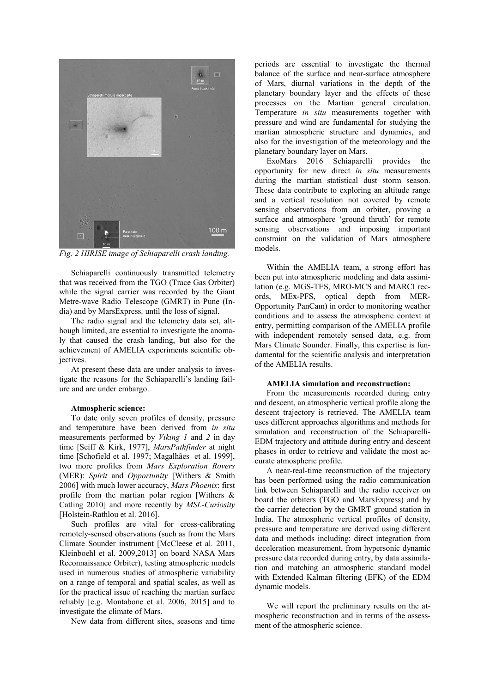

*Fig. 2 HIRISE image of Schiaparelli crash landing.*

Schiaparelli continuously transmitted telemetry that was received from the TGO (Trace Gas Orbiter) while the signal carrier was recorded by the Giant Metre-wave Radio Telescope (GMRT) in Pune (India) and by MarsExpress. until the loss of signal.

The radio signal and the telemetry data set, although limited, are essential to investigate the anomaly that caused the crash landing, but also for the achievement of AMELIA experiments scientific ob*iectives*.

At present these data are under analysis to investigate the reasons for the Schiaparelli's landing failure and are under embargo.

## **Atmospheric science:**

To date only seven profiles of density, pressure and temperature have been derived from *in situ*  measurements performed by *Viking 1* and *2* in day time [Seiff & Kirk, 1977], *MarsPathfinder* at night time [Schofield et al. 1997; Magalhães et al. 1999], two more profiles from *Mars Exploration Rovers*  (MER): *Spirit* and *Opportunity* [Withers & Smith 2006] with much lower accuracy, *Mars Phoenix*: first profile from the martian polar region [Withers & Catling 2010] and more recently by *MSL-Curiosity* [Holstein-Rathlou et al. 2016].

Such profiles are vital for cross-calibrating remotely-sensed observations (such as from the Mars Climate Sounder instrument [McCleese et al. 2011, Kleinboehl et al. 2009,2013] on board NASA Mars Reconnaissance Orbiter), testing atmospheric models used in numerous studies of atmospheric variability on a range of temporal and spatial scales, as well as for the practical issue of reaching the martian surface reliably [e.g. Montabone et al. 2006, 2015] and to investigate the climate of Mars.

New data from different sites, seasons and time

periods are essential to investigate the thermal balance of the surface and near-surface atmosphere of Mars, diurnal variations in the depth of the planetary boundary layer and the effects of these processes on the Martian general circulation. Temperature *in situ* measurements together with pressure and wind are fundamental for studying the martian atmospheric structure and dynamics, and also for the investigation of the meteorology and the planetary boundary layer on Mars.

ExoMars 2016 Schiaparelli provides the opportunity for new direct *in situ* measurements during the martian statistical dust storm season. These data contribute to exploring an altitude range and a vertical resolution not covered by remote sensing observations from an orbiter, proving a surface and atmosphere 'ground thruth' for remote sensing observations and imposing important constraint on the validation of Mars atmosphere models.

Within the AMELIA team, a strong effort has been put into atmospheric modeling and data assimilation (e.g. MGS-TES, MRO-MCS and MARCI records, MEx-PFS, optical depth from MER-Opportunity PanCam) in order to monitoring weather conditions and to assess the atmospheric context at entry, permitting comparison of the AMELIA profile with independent remotely sensed data, e.g. from Mars Climate Sounder. Finally, this expertise is fundamental for the scientific analysis and interpretation of the AMELIA results.

## **AMELIA simulation and reconstruction:**

From the measurements recorded during entry and descent, an atmospheric vertical profile along the descent trajectory is retrieved. The AMELIA team uses different approaches algorithms and methods for simulation and reconstruction of the Schiaparelli-EDM trajectory and attitude during entry and descent phases in order to retrieve and validate the most accurate atmospheric profile.

A near-real-time reconstruction of the trajectory has been performed using the radio communication link between Schiaparelli and the radio receiver on board the orbiters (TGO and MarsExpress) and by the carrier detection by the GMRT ground station in India. The atmospheric vertical profiles of density, pressure and temperature are derived using different data and methods including: direct integration from deceleration measurement, from hypersonic dynamic pressure data recorded during entry, by data assimilation and matching an atmospheric standard model with Extended Kalman filtering (EFK) of the EDM dynamic models.

We will report the preliminary results on the atmospheric reconstruction and in terms of the assessment of the atmospheric science.